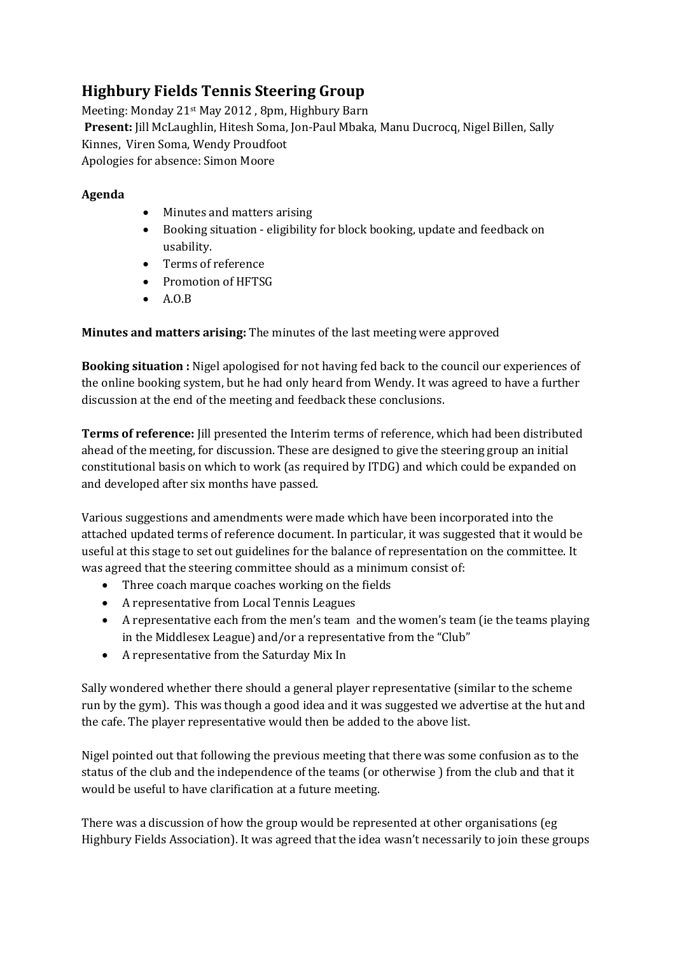## **Highbury Fields Tennis Steering Group**

Meeting: Monday 21st May 2012 , 8pm, Highbury Barn **Present:** Jill McLaughlin, Hitesh Soma, Jon-Paul Mbaka, Manu Ducrocq, Nigel Billen, Sally Kinnes, Viren Soma, Wendy Proudfoot Apologies for absence: Simon Moore

## **Agenda**

- Minutes and matters arising
- Booking situation eligibility for block booking, update and feedback on usability.
- Terms of reference
- Promotion of HFTSG
- $\bullet$  A.O.B

**Minutes and matters arising:** The minutes of the last meeting were approved

**Booking situation :** Nigel apologised for not having fed back to the council our experiences of the online booking system, but he had only heard from Wendy. It was agreed to have a further discussion at the end of the meeting and feedback these conclusions.

**Terms of reference:** Jill presented the Interim terms of reference, which had been distributed ahead of the meeting, for discussion. These are designed to give the steering group an initial constitutional basis on which to work (as required by ITDG) and which could be expanded on and developed after six months have passed.

Various suggestions and amendments were made which have been incorporated into the attached updated terms of reference document. In particular, it was suggested that it would be useful at this stage to set out guidelines for the balance of representation on the committee. It was agreed that the steering committee should as a minimum consist of:

- Three coach marque coaches working on the fields
- A representative from Local Tennis Leagues
- A representative each from the men's team and the women's team (ie the teams playing in the Middlesex League) and/or a representative from the "Club"
- A representative from the Saturday Mix In

Sally wondered whether there should a general player representative (similar to the scheme run by the gym). This was though a good idea and it was suggested we advertise at the hut and the cafe. The player representative would then be added to the above list.

Nigel pointed out that following the previous meeting that there was some confusion as to the status of the club and the independence of the teams (or otherwise ) from the club and that it would be useful to have clarification at a future meeting.

There was a discussion of how the group would be represented at other organisations (eg Highbury Fields Association). It was agreed that the idea wasn't necessarily to join these groups